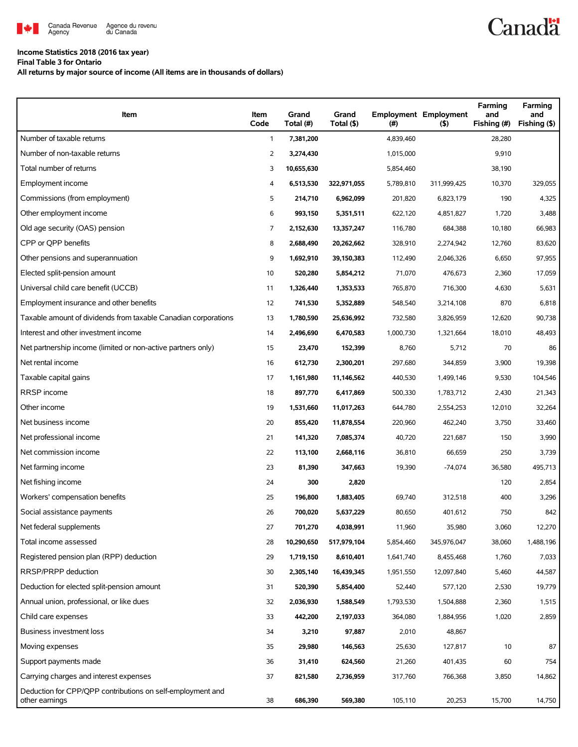

## **Income Statistics 2018 (2016 tax year)**

**Final Table 3 for Ontario**

**All returns by major source of income (All items are in thousands of dollars)**

| Item                                                                         | Item<br>Code | Grand<br>Total (#) | Grand<br>Total (\$) | $($ #)    | <b>Employment Employment</b><br>(5) | Farming<br>and<br>Fishing (#) | Farming<br>and<br>Fishing (\$) |
|------------------------------------------------------------------------------|--------------|--------------------|---------------------|-----------|-------------------------------------|-------------------------------|--------------------------------|
| Number of taxable returns                                                    | $\mathbf{1}$ | 7,381,200          |                     | 4,839,460 |                                     | 28,280                        |                                |
| Number of non-taxable returns                                                | 2            | 3,274,430          |                     | 1,015,000 |                                     | 9,910                         |                                |
| Total number of returns                                                      | 3            | 10,655,630         |                     | 5,854,460 |                                     | 38,190                        |                                |
| Employment income                                                            | 4            | 6,513,530          | 322,971,055         | 5,789,810 | 311,999,425                         | 10,370                        | 329,055                        |
| Commissions (from employment)                                                | 5            | 214,710            | 6,962,099           | 201,820   | 6,823,179                           | 190                           | 4,325                          |
| Other employment income                                                      | 6            | 993,150            | 5,351,511           | 622,120   | 4,851,827                           | 1,720                         | 3,488                          |
| Old age security (OAS) pension                                               | 7            | 2,152,630          | 13,357,247          | 116,780   | 684,388                             | 10,180                        | 66,983                         |
| CPP or OPP benefits                                                          | 8            | 2,688,490          | 20,262,662          | 328,910   | 2,274,942                           | 12,760                        | 83,620                         |
| Other pensions and superannuation                                            | 9            | 1,692,910          | 39,150,383          | 112,490   | 2,046,326                           | 6,650                         | 97,955                         |
| Elected split-pension amount                                                 | 10           | 520,280            | 5,854,212           | 71,070    | 476,673                             | 2,360                         | 17,059                         |
| Universal child care benefit (UCCB)                                          | 11           | 1,326,440          | 1,353,533           | 765,870   | 716,300                             | 4,630                         | 5,631                          |
| Employment insurance and other benefits                                      | 12           | 741,530            | 5,352,889           | 548,540   | 3,214,108                           | 870                           | 6,818                          |
| Taxable amount of dividends from taxable Canadian corporations               | 13           | 1,780,590          | 25,636,992          | 732,580   | 3,826,959                           | 12,620                        | 90,738                         |
| Interest and other investment income                                         | 14           | 2,496,690          | 6,470,583           | 1,000,730 | 1,321,664                           | 18,010                        | 48,493                         |
| Net partnership income (limited or non-active partners only)                 | 15           | 23,470             | 152,399             | 8,760     | 5,712                               | 70                            | 86                             |
| Net rental income                                                            | 16           | 612,730            | 2,300,201           | 297,680   | 344,859                             | 3,900                         | 19,398                         |
| Taxable capital gains                                                        | 17           | 1,161,980          | 11,146,562          | 440,530   | 1,499,146                           | 9,530                         | 104,546                        |
| RRSP income                                                                  | 18           | 897,770            | 6,417,869           | 500,330   | 1,783,712                           | 2,430                         | 21,343                         |
| Other income                                                                 | 19           | 1,531,660          | 11,017,263          | 644,780   | 2,554,253                           | 12,010                        | 32,264                         |
| Net business income                                                          | 20           | 855,420            | 11,878,554          | 220,960   | 462,240                             | 3,750                         | 33,460                         |
| Net professional income                                                      | 21           | 141,320            | 7,085,374           | 40,720    | 221,687                             | 150                           | 3,990                          |
| Net commission income                                                        | 22           | 113,100            | 2,668,116           | 36,810    | 66,659                              | 250                           | 3,739                          |
| Net farming income                                                           | 23           | 81,390             | 347,663             | 19,390    | $-74,074$                           | 36,580                        | 495,713                        |
| Net fishing income                                                           | 24           | 300                | 2,820               |           |                                     | 120                           | 2,854                          |
| Workers' compensation benefits                                               | 25           | 196,800            | 1,883,405           | 69,740    | 312,518                             | 400                           | 3,296                          |
| Social assistance payments                                                   | 26           | 700,020            | 5,637,229           | 80,650    | 401,612                             | 750                           | 842                            |
| Net federal supplements                                                      | 27           | 701,270            | 4,038,991           | 11,960    | 35,980                              | 3,060                         | 12,270                         |
| Total income assessed                                                        | 28           | 10,290,650         | 517,979,104         | 5,854,460 | 345,976,047                         | 38,060                        | 1,488,196                      |
| Registered pension plan (RPP) deduction                                      | 29           | 1,719,150          | 8,610,401           | 1,641,740 | 8,455,468                           | 1,760                         | 7,033                          |
| RRSP/PRPP deduction                                                          | 30           | 2,305,140          | 16,439,345          | 1,951,550 | 12,097,840                          | 5,460                         | 44,587                         |
| Deduction for elected split-pension amount                                   | 31           | 520,390            | 5,854,400           | 52,440    | 577,120                             | 2,530                         | 19,779                         |
| Annual union, professional, or like dues                                     | 32           | 2,036,930          | 1,588,549           | 1,793,530 | 1,504,888                           | 2,360                         | 1,515                          |
| Child care expenses                                                          | 33           | 442,200            | 2,197,033           | 364,080   | 1,884,956                           | 1,020                         | 2,859                          |
| Business investment loss                                                     | 34           | 3,210              | 97,887              | 2,010     | 48,867                              |                               |                                |
| Moving expenses                                                              | 35           | 29,980             | 146,563             | 25,630    | 127,817                             | 10                            | 87                             |
| Support payments made                                                        | 36           | 31,410             | 624,560             | 21,260    | 401,435                             | 60                            | 754                            |
| Carrying charges and interest expenses                                       | 37           | 821,580            | 2,736,959           | 317,760   | 766,368                             | 3,850                         | 14,862                         |
| Deduction for CPP/QPP contributions on self-employment and<br>other earnings | 38           | 686,390            | 569,380             | 105,110   | 20,253                              | 15,700                        | 14,750                         |

**Canadä**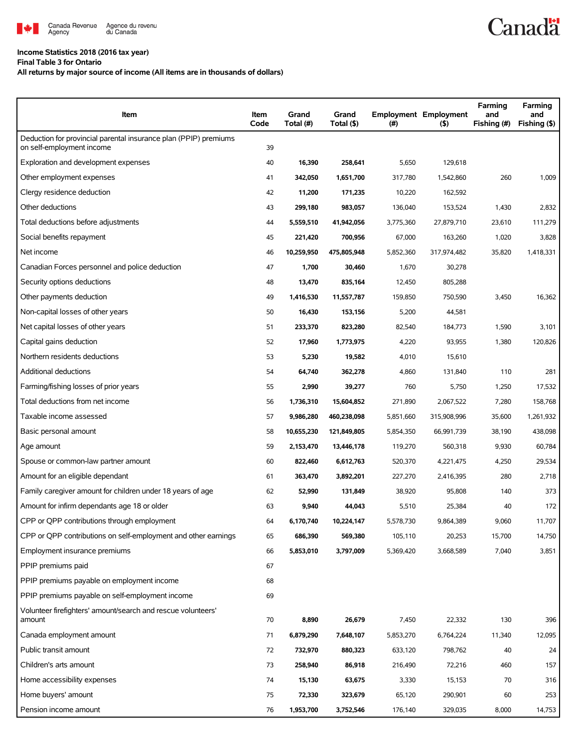

## **Income Statistics 2018 (2016 tax year)**

**Final Table 3 for Ontario**

## **All returns by major source of income (All items are in thousands of dollars)**

| Item                                                                                          | Item<br>Code | Grand<br>Total (#) | Grand<br>Total (\$) | (#)       | <b>Employment Employment</b><br>(5) | Farming<br>and<br>Fishing (#) | Farming<br>and<br>Fishing (\$) |
|-----------------------------------------------------------------------------------------------|--------------|--------------------|---------------------|-----------|-------------------------------------|-------------------------------|--------------------------------|
| Deduction for provincial parental insurance plan (PPIP) premiums<br>on self-employment income | 39           |                    |                     |           |                                     |                               |                                |
| Exploration and development expenses                                                          | 40           | 16,390             | 258,641             | 5,650     | 129,618                             |                               |                                |
| Other employment expenses                                                                     | 41           | 342,050            | 1,651,700           | 317,780   | 1,542,860                           | 260                           | 1,009                          |
| Clergy residence deduction                                                                    | 42           | 11,200             | 171,235             | 10,220    | 162,592                             |                               |                                |
| Other deductions                                                                              | 43           | 299,180            | 983,057             | 136,040   | 153,524                             | 1,430                         | 2,832                          |
| Total deductions before adjustments                                                           | 44           | 5,559,510          | 41,942,056          | 3,775,360 | 27,879,710                          | 23,610                        | 111,279                        |
| Social benefits repayment                                                                     | 45           | 221,420            | 700,956             | 67,000    | 163,260                             | 1,020                         | 3,828                          |
| Net income                                                                                    | 46           | 10,259,950         | 475,805,948         | 5,852,360 | 317,974,482                         | 35,820                        | 1,418,331                      |
| Canadian Forces personnel and police deduction                                                | 47           | 1,700              | 30,460              | 1,670     | 30,278                              |                               |                                |
| Security options deductions                                                                   | 48           | 13,470             | 835,164             | 12,450    | 805,288                             |                               |                                |
| Other payments deduction                                                                      | 49           | 1,416,530          | 11,557,787          | 159,850   | 750,590                             | 3,450                         | 16,362                         |
| Non-capital losses of other years                                                             | 50           | 16,430             | 153,156             | 5,200     | 44,581                              |                               |                                |
| Net capital losses of other years                                                             | 51           | 233,370            | 823,280             | 82,540    | 184,773                             | 1,590                         | 3,101                          |
| Capital gains deduction                                                                       | 52           | 17,960             | 1,773,975           | 4,220     | 93,955                              | 1,380                         | 120,826                        |
| Northern residents deductions                                                                 | 53           | 5,230              | 19,582              | 4,010     | 15,610                              |                               |                                |
| <b>Additional deductions</b>                                                                  | 54           | 64,740             | 362,278             | 4,860     | 131,840                             | 110                           | 281                            |
| Farming/fishing losses of prior years                                                         | 55           | 2,990              | 39,277              | 760       | 5,750                               | 1,250                         | 17,532                         |
| Total deductions from net income                                                              | 56           | 1,736,310          | 15,604,852          | 271,890   | 2,067,522                           | 7,280                         | 158,768                        |
| Taxable income assessed                                                                       | 57           | 9,986,280          | 460,238,098         | 5,851,660 | 315,908,996                         | 35,600                        | 1,261,932                      |
| Basic personal amount                                                                         | 58           | 10,655,230         | 121,849,805         | 5,854,350 | 66,991,739                          | 38,190                        | 438,098                        |
| Age amount                                                                                    | 59           | 2,153,470          | 13,446,178          | 119,270   | 560,318                             | 9,930                         | 60,784                         |
| Spouse or common-law partner amount                                                           | 60           | 822,460            | 6,612,763           | 520,370   | 4,221,475                           | 4,250                         | 29,534                         |
| Amount for an eligible dependant                                                              | 61           | 363,470            | 3,892,201           | 227,270   | 2,416,395                           | 280                           | 2,718                          |
| Family caregiver amount for children under 18 years of age                                    | 62           | 52,990             | 131,849             | 38,920    | 95,808                              | 140                           | 373                            |
| Amount for infirm dependants age 18 or older                                                  | 63           | 9,940              | 44,043              | 5,510     | 25,384                              | 40                            | 172                            |
| CPP or QPP contributions through employment                                                   | 64           | 6,170,740          | 10,224,147          | 5,578,730 | 9,864,389                           | 9,060                         | 11,707                         |
| CPP or QPP contributions on self-employment and other earnings                                | 65           | 686,390            | 569,380             | 105,110   | 20,253                              | 15,700                        | 14,750                         |
| Employment insurance premiums                                                                 | 66           | 5,853,010          | 3,797,009           | 5,369,420 | 3,668,589                           | 7,040                         | 3,851                          |
| PPIP premiums paid                                                                            | 67           |                    |                     |           |                                     |                               |                                |
| PPIP premiums payable on employment income                                                    | 68           |                    |                     |           |                                     |                               |                                |
| PPIP premiums payable on self-employment income                                               | 69           |                    |                     |           |                                     |                               |                                |
| Volunteer firefighters' amount/search and rescue volunteers'<br>amount                        | 70           | 8,890              | 26,679              | 7,450     | 22,332                              | 130                           | 396                            |
| Canada employment amount                                                                      | 71           | 6,879,290          | 7,648,107           | 5,853,270 | 6,764,224                           | 11,340                        | 12,095                         |
| Public transit amount                                                                         | 72           | 732,970            | 880,323             | 633,120   | 798,762                             | 40                            | 24                             |
| Children's arts amount                                                                        | 73           | 258,940            | 86,918              | 216,490   | 72,216                              | 460                           | 157                            |
| Home accessibility expenses                                                                   | 74           | 15,130             | 63,675              | 3,330     | 15,153                              | 70                            | 316                            |
| Home buyers' amount                                                                           | 75           | 72,330             | 323,679             | 65,120    | 290,901                             | 60                            | 253                            |
| Pension income amount                                                                         | 76           | 1,953,700          | 3,752,546           | 176,140   | 329,035                             | 8,000                         | 14,753                         |

**Canadä**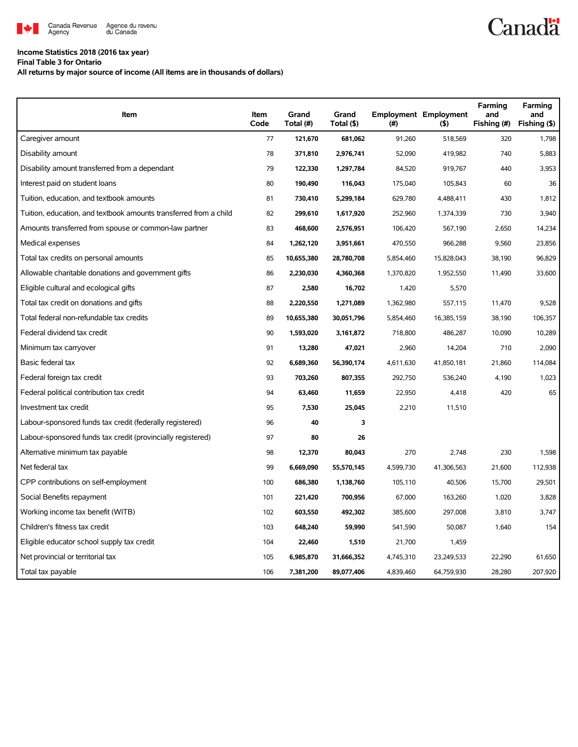

## **Income Statistics 2018 (2016 tax year)**

**Final Table 3 for Ontario**

**All returns by major source of income (All items are in thousands of dollars)**

| Item                                                              | Item<br>Code | Grand<br>Total (#) | Grand<br>Total (\$) | (#)       | <b>Employment Employment</b><br>$($ \$) | Farming<br>and<br>Fishing (#) | Farming<br>and<br>Fishing (\$) |
|-------------------------------------------------------------------|--------------|--------------------|---------------------|-----------|-----------------------------------------|-------------------------------|--------------------------------|
| Caregiver amount                                                  | 77           | 121,670            | 681,062             | 91,260    | 518,569                                 | 320                           | 1,798                          |
| Disability amount                                                 | 78           | 371,810            | 2,976,741           | 52,090    | 419,982                                 | 740                           | 5,883                          |
| Disability amount transferred from a dependant                    | 79           | 122,330            | 1,297,784           | 84,520    | 919,767                                 | 440                           | 3,953                          |
| Interest paid on student loans                                    | 80           | 190,490            | 116,043             | 175,040   | 105,843                                 | 60                            | 36                             |
| Tuition, education, and textbook amounts                          | 81           | 730,410            | 5,299,184           | 629,780   | 4,488,411                               | 430                           | 1,812                          |
| Tuition, education, and textbook amounts transferred from a child | 82           | 299,610            | 1,617,920           | 252,960   | 1,374,339                               | 730                           | 3,940                          |
| Amounts transferred from spouse or common-law partner             | 83           | 468,600            | 2,576,951           | 106,420   | 567,190                                 | 2,650                         | 14,234                         |
| Medical expenses                                                  | 84           | 1,262,120          | 3,951,661           | 470,550   | 966,288                                 | 9,560                         | 23,856                         |
| Total tax credits on personal amounts                             | 85           | 10,655,380         | 28,780,708          | 5,854,460 | 15,828,043                              | 38,190                        | 96,829                         |
| Allowable charitable donations and government gifts               | 86           | 2,230,030          | 4,360,368           | 1,370,820 | 1,952,550                               | 11,490                        | 33,600                         |
| Eligible cultural and ecological gifts                            | 87           | 2,580              | 16,702              | 1,420     | 5,570                                   |                               |                                |
| Total tax credit on donations and gifts                           | 88           | 2,220,550          | 1,271,089           | 1,362,980 | 557,115                                 | 11,470                        | 9,528                          |
| Total federal non-refundable tax credits                          | 89           | 10,655,380         | 30,051,796          | 5,854,460 | 16,385,159                              | 38,190                        | 106,357                        |
| Federal dividend tax credit                                       | 90           | 1,593,020          | 3,161,872           | 718,800   | 486,287                                 | 10,090                        | 10,289                         |
| Minimum tax carryover                                             | 91           | 13,280             | 47,021              | 2,960     | 14,204                                  | 710                           | 2,090                          |
| Basic federal tax                                                 | 92           | 6,689,360          | 56,390,174          | 4,611,630 | 41,850,181                              | 21,860                        | 114,084                        |
| Federal foreign tax credit                                        | 93           | 703,260            | 807,355             | 292,750   | 536,240                                 | 4,190                         | 1,023                          |
| Federal political contribution tax credit                         | 94           | 63,460             | 11,659              | 22,950    | 4,418                                   | 420                           | 65                             |
| Investment tax credit                                             | 95           | 7,530              | 25,045              | 2,210     | 11,510                                  |                               |                                |
| Labour-sponsored funds tax credit (federally registered)          | 96           | 40                 | 3                   |           |                                         |                               |                                |
| Labour-sponsored funds tax credit (provincially registered)       | 97           | 80                 | 26                  |           |                                         |                               |                                |
| Alternative minimum tax payable                                   | 98           | 12,370             | 80,043              | 270       | 2,748                                   | 230                           | 1,598                          |
| Net federal tax                                                   | 99           | 6,669,090          | 55,570,145          | 4,599,730 | 41,306,563                              | 21,600                        | 112,938                        |
| CPP contributions on self-employment                              | 100          | 686,380            | 1,138,760           | 105,110   | 40,506                                  | 15,700                        | 29,501                         |
| Social Benefits repayment                                         | 101          | 221,420            | 700,956             | 67,000    | 163,260                                 | 1,020                         | 3,828                          |
| Working income tax benefit (WITB)                                 | 102          | 603,550            | 492,302             | 385,600   | 297,008                                 | 3,810                         | 3,747                          |
| Children's fitness tax credit                                     | 103          | 648,240            | 59,990              | 541,590   | 50,087                                  | 1,640                         | 154                            |
| Eligible educator school supply tax credit                        | 104          | 22,460             | 1,510               | 21,700    | 1,459                                   |                               |                                |
| Net provincial or territorial tax                                 | 105          | 6,985,870          | 31,666,352          | 4,745,310 | 23,249,533                              | 22,290                        | 61,650                         |
| Total tax payable                                                 | 106          | 7,381,200          | 89,077,406          | 4,839,460 | 64,759,930                              | 28,280                        | 207,920                        |

**Canadä**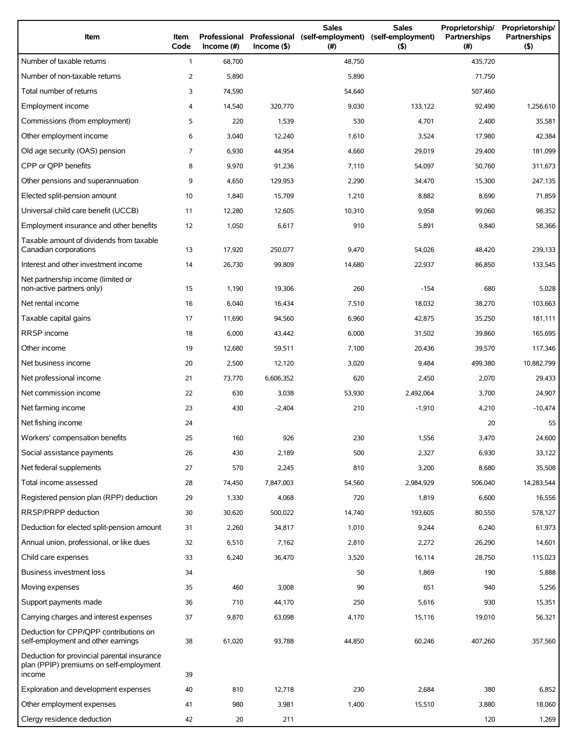| Item                                                                                             | Item<br>Code | Professional<br>Income (#) | $Income($ \$) | <b>Sales</b><br>Professional (self-employment)<br>(#) | <b>Sales</b><br>(self-employment)<br>(5) | Proprietorship/<br>Partnerships<br>(#) | Proprietorship/<br><b>Partnerships</b><br>(5) |
|--------------------------------------------------------------------------------------------------|--------------|----------------------------|---------------|-------------------------------------------------------|------------------------------------------|----------------------------------------|-----------------------------------------------|
| Number of taxable returns                                                                        | $\mathbf{1}$ | 68,700                     |               | 48,750                                                |                                          | 435,720                                |                                               |
| Number of non-taxable returns                                                                    | 2            | 5,890                      |               | 5,890                                                 |                                          | 71,750                                 |                                               |
| Total number of returns                                                                          | 3            | 74,590                     |               | 54,640                                                |                                          | 507,460                                |                                               |
| Employment income                                                                                | 4            | 14,540                     | 320,770       | 9,030                                                 | 133,122                                  | 92,490                                 | 1,256,610                                     |
| Commissions (from employment)                                                                    | 5            | 220                        | 1,539         | 530                                                   | 4,701                                    | 2,400                                  | 35,581                                        |
| Other employment income                                                                          | 6            | 3,040                      | 12,240        | 1,610                                                 | 3,524                                    | 17,980                                 | 42,384                                        |
| Old age security (OAS) pension                                                                   | 7            | 6,930                      | 44,954        | 4,660                                                 | 29,019                                   | 29,400                                 | 181,099                                       |
| CPP or OPP benefits                                                                              | 8            | 9,970                      | 91,236        | 7,110                                                 | 54,097                                   | 50,760                                 | 311,673                                       |
| Other pensions and superannuation                                                                | 9            | 4,650                      | 129,953       | 2,290                                                 | 34,470                                   | 15,300                                 | 247,135                                       |
| Elected split-pension amount                                                                     | 10           | 1,840                      | 15,709        | 1,210                                                 | 8,882                                    | 8,690                                  | 71,859                                        |
| Universal child care benefit (UCCB)                                                              | 11           | 12,280                     | 12,605        | 10,310                                                | 9,958                                    | 99,060                                 | 98,352                                        |
| Employment insurance and other benefits                                                          | 12           | 1,050                      | 6,617         | 910                                                   | 5,891                                    | 9,840                                  | 58,366                                        |
| Taxable amount of dividends from taxable<br>Canadian corporations                                | 13           | 17,920                     | 250.077       | 9,470                                                 | 54,026                                   | 48,420                                 | 239,133                                       |
| Interest and other investment income                                                             | 14           | 26,730                     | 99,809        | 14,680                                                | 22,937                                   | 86,850                                 | 133,545                                       |
| Net partnership income (limited or<br>non-active partners only)                                  | 15           | 1,190                      | 19,306        | 260                                                   | $-154$                                   | 680                                    | 5,028                                         |
| Net rental income                                                                                | 16           | 6,040                      | 16,434        | 7,510                                                 | 18,032                                   | 38,270                                 | 103,663                                       |
| Taxable capital gains                                                                            | 17           | 11,690                     | 94,560        | 6,960                                                 | 42,875                                   | 35,250                                 | 181,111                                       |
| RRSP income                                                                                      | 18           | 6,000                      | 43,442        | 6,000                                                 | 31,502                                   | 39,860                                 | 165,695                                       |
| Other income                                                                                     | 19           | 12,680                     | 59,511        | 7,100                                                 | 20,436                                   | 39,570                                 | 117,346                                       |
| Net business income                                                                              | 20           | 2,500                      | 12,120        | 3,020                                                 | 9,484                                    | 499,380                                | 10,882,799                                    |
| Net professional income                                                                          | 21           | 73,770                     | 6,606,352     | 620                                                   | 2,450                                    | 2,070                                  | 29,433                                        |
| Net commission income                                                                            | 22           | 630                        | 3,038         | 53,930                                                | 2,492,064                                | 3,700                                  | 24,907                                        |
| Net farming income                                                                               | 23           | 430                        | $-2,404$      | 210                                                   | $-1,910$                                 | 4,210                                  | $-10,474$                                     |
| Net fishing income                                                                               | 24           |                            |               |                                                       |                                          | 20                                     | 55                                            |
| Workers' compensation benefits                                                                   | 25           | 160                        | 926           | 230                                                   | 1,556                                    | 3,470                                  | 24,600                                        |
| Social assistance payments                                                                       | 26           | 430                        | 2,189         | 500                                                   | 2,327                                    | 6,930                                  | 33,122                                        |
| Net federal supplements                                                                          | 27           | 570                        | 2,245         | 810                                                   | 3,200                                    | 8,680                                  | 35,508                                        |
| Total income assessed                                                                            | 28           | 74,450                     | 7,847,003     | 54,560                                                | 2,984,929                                | 506,040                                | 14,283,544                                    |
| Registered pension plan (RPP) deduction                                                          | 29           | 1,330                      | 4,068         | 720                                                   | 1,819                                    | 6,600                                  | 16,556                                        |
| RRSP/PRPP deduction                                                                              | 30           | 30,620                     | 500,022       | 14,740                                                | 193.605                                  | 80,550                                 | 578,127                                       |
| Deduction for elected split-pension amount                                                       | 31           | 2,260                      | 34,817        | 1,010                                                 | 9,244                                    | 6,240                                  | 61,973                                        |
| Annual union, professional, or like dues                                                         | 32           | 6,510                      | 7,162         | 2,810                                                 | 2,272                                    | 26,290                                 | 14,601                                        |
| Child care expenses                                                                              | 33           | 6,240                      | 36,470        | 3,520                                                 | 16,114                                   | 28,750                                 | 115,023                                       |
| Business investment loss                                                                         | 34           |                            |               | 50                                                    | 1,869                                    | 190                                    | 5,888                                         |
| Moving expenses                                                                                  | 35           | 460                        | 3,008         | 90                                                    | 651                                      | 940                                    | 5,256                                         |
| Support payments made                                                                            | 36           | 710                        | 44,170        | 250                                                   | 5,616                                    | 930                                    | 15,351                                        |
| Carrying charges and interest expenses                                                           | 37           | 9,870                      | 63,098        | 4,170                                                 | 15,116                                   | 19,010                                 | 56,321                                        |
| Deduction for CPP/QPP contributions on<br>self-employment and other earnings                     | 38           | 61,020                     | 93,788        | 44,850                                                | 60,246                                   | 407,260                                | 357,560                                       |
| Deduction for provincial parental insurance<br>plan (PPIP) premiums on self-employment<br>income | 39           |                            |               |                                                       |                                          |                                        |                                               |
| Exploration and development expenses                                                             | 40           | 810                        | 12,718        | 230                                                   | 2,684                                    | 380                                    | 6,852                                         |
| Other employment expenses                                                                        | 41           | 980                        | 3,981         | 1,400                                                 | 15,510                                   | 3,880                                  | 18,060                                        |
| Clergy residence deduction                                                                       | 42           | 20                         | 211           |                                                       |                                          | 120                                    | 1,269                                         |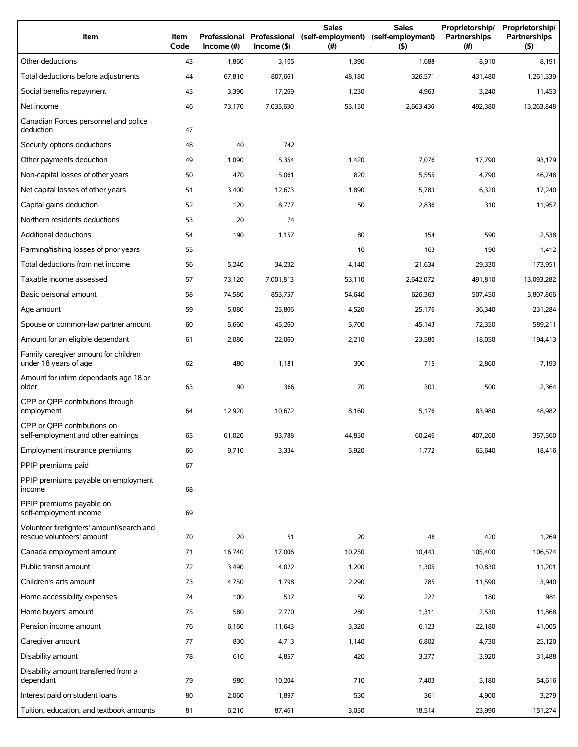| Item                                                                   | Item<br>Code | Professional<br>$Income$ (#) | $Income($ \$) | <b>Sales</b><br>Professional (self-employment)<br>(#) | <b>Sales</b><br>(self-employment)<br>(5) | Proprietorship/<br>Partnerships<br>(# ) | Proprietorship/<br>Partnerships<br>(5) |
|------------------------------------------------------------------------|--------------|------------------------------|---------------|-------------------------------------------------------|------------------------------------------|-----------------------------------------|----------------------------------------|
| Other deductions                                                       | 43           | 1,860                        | 3,105         | 1,390                                                 | 1,688                                    | 8,910                                   | 8,191                                  |
| Total deductions before adjustments                                    | 44           | 67,810                       | 807,661       | 48,180                                                | 326,571                                  | 431,480                                 | 1,261,539                              |
| Social benefits repayment                                              | 45           | 3,390                        | 17,269        | 1,230                                                 | 4,963                                    | 3,240                                   | 11,453                                 |
| Net income                                                             | 46           | 73,170                       | 7,035,630     | 53,150                                                | 2,663,436                                | 492,380                                 | 13,263,848                             |
| Canadian Forces personnel and police<br>deduction                      | 47           |                              |               |                                                       |                                          |                                         |                                        |
| Security options deductions                                            | 48           | 40                           | 742           |                                                       |                                          |                                         |                                        |
| Other payments deduction                                               | 49           | 1,090                        | 5,354         | 1,420                                                 | 7,076                                    | 17,790                                  | 93,179                                 |
| Non-capital losses of other years                                      | 50           | 470                          | 5,061         | 820                                                   | 5,555                                    | 4,790                                   | 46,748                                 |
| Net capital losses of other years                                      | 51           | 3,400                        | 12,673        | 1,890                                                 | 5,783                                    | 6,320                                   | 17,240                                 |
| Capital gains deduction                                                | 52           | 120                          | 8,777         | 50                                                    | 2,836                                    | 310                                     | 11,957                                 |
| Northern residents deductions                                          | 53           | 20                           | 74            |                                                       |                                          |                                         |                                        |
| Additional deductions                                                  | 54           | 190                          | 1,157         | 80                                                    | 154                                      | 590                                     | 2,538                                  |
| Farming/fishing losses of prior years                                  | 55           |                              |               | 10                                                    | 163                                      | 190                                     | 1,412                                  |
| Total deductions from net income                                       | 56           | 5,240                        | 34,232        | 4,140                                                 | 21,634                                   | 29,330                                  | 173,951                                |
| Taxable income assessed                                                | 57           | 73,120                       | 7,001,813     | 53,110                                                | 2,642,072                                | 491,810                                 | 13,093,282                             |
| Basic personal amount                                                  | 58           | 74,580                       | 853,757       | 54,640                                                | 626,363                                  | 507,450                                 | 5,807,866                              |
| Age amount                                                             | 59           | 5,080                        | 25,806        | 4,520                                                 | 25,176                                   | 36,340                                  | 231,284                                |
| Spouse or common-law partner amount                                    | 60           | 5,660                        | 45,260        | 5,700                                                 | 45,143                                   | 72,350                                  | 589,211                                |
| Amount for an eligible dependant                                       | 61           | 2,080                        | 22,060        | 2,210                                                 | 23,580                                   | 18,050                                  | 194,413                                |
| Family caregiver amount for children<br>under 18 years of age          | 62           | 480                          | 1,181         | 300                                                   | 715                                      | 2,860                                   | 7,193                                  |
| Amount for infirm dependants age 18 or<br>older                        | 63           | 90                           | 366           | 70                                                    | 303                                      | 500                                     | 2,364                                  |
| CPP or QPP contributions through<br>employment                         | 64           | 12,920                       | 10,672        | 8,160                                                 | 5,176                                    | 83,980                                  | 48,982                                 |
| CPP or QPP contributions on<br>self-employment and other earnings      | 65           | 61,020                       | 93,788        | 44,850                                                | 60,246                                   | 407,260                                 | 357,560                                |
| Employment insurance premiums                                          | 66           | 9,710                        | 3,334         | 5,920                                                 | 1,772                                    | 65,640                                  | 18,416                                 |
| PPIP premiums paid                                                     | 67           |                              |               |                                                       |                                          |                                         |                                        |
| PPIP premiums payable on employment<br>income                          | 68           |                              |               |                                                       |                                          |                                         |                                        |
| PPIP premiums payable on<br>self-employment income                     | 69           |                              |               |                                                       |                                          |                                         |                                        |
| Volunteer firefighters' amount/search and<br>rescue volunteers' amount | 70           | 20                           | 51            | 20                                                    | 48                                       | 420                                     | 1,269                                  |
| Canada employment amount                                               | 71           | 16,740                       | 17,006        | 10,250                                                | 10,443                                   | 105,400                                 | 106,574                                |
| Public transit amount                                                  | 72           | 3,490                        | 4,022         | 1,200                                                 | 1,305                                    | 10,830                                  | 11,201                                 |
| Children's arts amount                                                 | 73           | 4,750                        | 1,798         | 2,290                                                 | 785                                      | 11,590                                  | 3,940                                  |
| Home accessibility expenses                                            | 74           | 100                          | 537           | 50                                                    | 227                                      | 180                                     | 981                                    |
| Home buyers' amount                                                    | 75           | 580                          | 2,770         | 280                                                   | 1,311                                    | 2,530                                   | 11,868                                 |
| Pension income amount                                                  | 76           | 6,160                        | 11,643        | 3,320                                                 | 6,123                                    | 22,180                                  | 41,005                                 |
| Caregiver amount                                                       | 77           | 830                          | 4,713         | 1,140                                                 | 6,802                                    | 4,730                                   | 25,120                                 |
| Disability amount                                                      | 78           | 610                          | 4,857         | 420                                                   | 3,377                                    | 3,920                                   | 31,488                                 |
| Disability amount transferred from a<br>dependant                      | 79           | 980                          | 10,204        | 710                                                   | 7,403                                    | 5,180                                   | 54,616                                 |
| Interest paid on student loans                                         | 80           | 2,060                        | 1,897         | 530                                                   | 361                                      | 4,900                                   | 3,279                                  |
| Tuition, education, and textbook amounts                               | 81           | 6,210                        | 87,461        | 3,050                                                 | 18,514                                   | 23,990                                  | 151,274                                |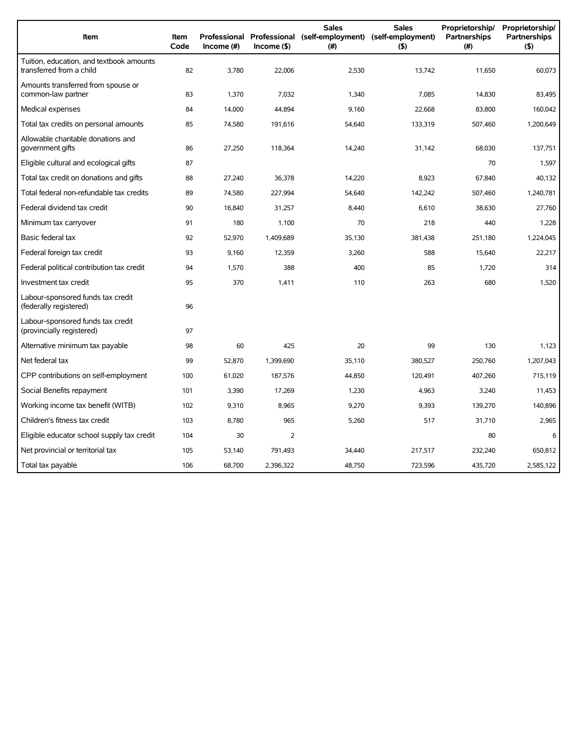| Item                                                                 | <b>Item</b><br>Code | Income (#) | $Income($ \$) | <b>Sales</b><br>Professional Professional (self-employment) (self-employment)<br>(# ) | <b>Sales</b><br>$($ \$) | Proprietorship/<br>Partnerships<br>(#) | Proprietorship/<br><b>Partnerships</b><br>(5) |
|----------------------------------------------------------------------|---------------------|------------|---------------|---------------------------------------------------------------------------------------|-------------------------|----------------------------------------|-----------------------------------------------|
| Tuition, education, and textbook amounts<br>transferred from a child | 82                  | 3,780      | 22,006        | 2,530                                                                                 | 13,742                  | 11,650                                 | 60,073                                        |
| Amounts transferred from spouse or<br>common-law partner             | 83                  | 1,370      | 7,032         | 1,340                                                                                 | 7,085                   | 14,830                                 | 83,495                                        |
| Medical expenses                                                     | 84                  | 14,000     | 44,894        | 9,160                                                                                 | 22,668                  | 83,800                                 | 160,042                                       |
| Total tax credits on personal amounts                                | 85                  | 74,580     | 191,616       | 54,640                                                                                | 133,319                 | 507,460                                | 1,200,649                                     |
| Allowable charitable donations and<br>government gifts               | 86                  | 27,250     | 118,364       | 14,240                                                                                | 31,142                  | 68,030                                 | 137,751                                       |
| Eligible cultural and ecological gifts                               | 87                  |            |               |                                                                                       |                         | 70                                     | 1,597                                         |
| Total tax credit on donations and gifts                              | 88                  | 27,240     | 36,378        | 14,220                                                                                | 8,923                   | 67,840                                 | 40,132                                        |
| Total federal non-refundable tax credits                             | 89                  | 74,580     | 227,994       | 54,640                                                                                | 142,242                 | 507,460                                | 1,240,781                                     |
| Federal dividend tax credit                                          | 90                  | 16,840     | 31,257        | 8,440                                                                                 | 6,610                   | 38,630                                 | 27,760                                        |
| Minimum tax carryover                                                | 91                  | 180        | 1,100         | 70                                                                                    | 218                     | 440                                    | 1,228                                         |
| Basic federal tax                                                    | 92                  | 52,970     | 1,409,689     | 35,130                                                                                | 381,438                 | 251,180                                | 1,224,045                                     |
| Federal foreign tax credit                                           | 93                  | 9,160      | 12,359        | 3,260                                                                                 | 588                     | 15,640                                 | 22,217                                        |
| Federal political contribution tax credit                            | 94                  | 1,570      | 388           | 400                                                                                   | 85                      | 1,720                                  | 314                                           |
| Investment tax credit                                                | 95                  | 370        | 1,411         | 110                                                                                   | 263                     | 680                                    | 1.520                                         |
| Labour-sponsored funds tax credit<br>(federally registered)          | 96                  |            |               |                                                                                       |                         |                                        |                                               |
| Labour-sponsored funds tax credit<br>(provincially registered)       | 97                  |            |               |                                                                                       |                         |                                        |                                               |
| Alternative minimum tax payable                                      | 98                  | 60         | 425           | 20                                                                                    | 99                      | 130                                    | 1,123                                         |
| Net federal tax                                                      | 99                  | 52,870     | 1,399,690     | 35,110                                                                                | 380,527                 | 250,760                                | 1,207,043                                     |
| CPP contributions on self-employment                                 | 100                 | 61,020     | 187,576       | 44,850                                                                                | 120,491                 | 407,260                                | 715,119                                       |
| Social Benefits repayment                                            | 101                 | 3,390      | 17,269        | 1,230                                                                                 | 4,963                   | 3,240                                  | 11,453                                        |
| Working income tax benefit (WITB)                                    | 102                 | 9,310      | 8,965         | 9,270                                                                                 | 9,393                   | 139,270                                | 140,896                                       |
| Children's fitness tax credit                                        | 103                 | 8,780      | 965           | 5,260                                                                                 | 517                     | 31,710                                 | 2,965                                         |
| Eligible educator school supply tax credit                           | 104                 | 30         | 2             |                                                                                       |                         | 80                                     | 6                                             |
| Net provincial or territorial tax                                    | 105                 | 53,140     | 791,493       | 34,440                                                                                | 217,517                 | 232,240                                | 650.812                                       |
| Total tax payable                                                    | 106                 | 68,700     | 2.396.322     | 48,750                                                                                | 723,596                 | 435,720                                | 2,585,122                                     |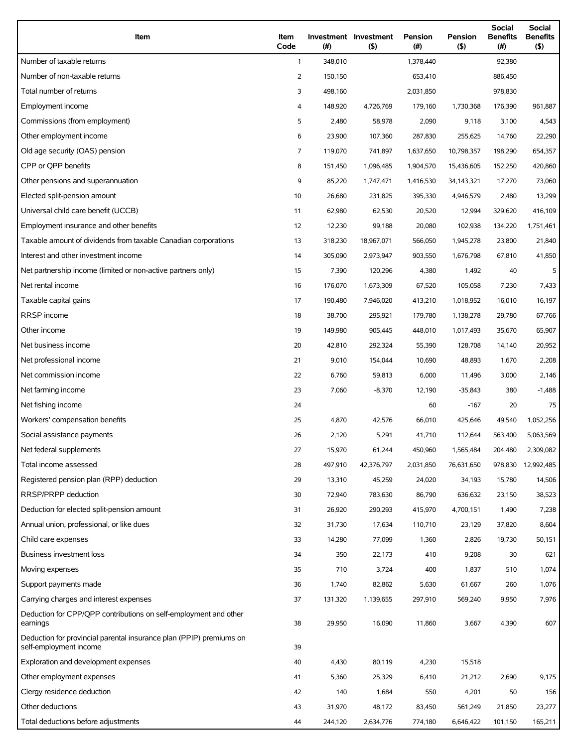| Item                                                                                          | Item<br>Code   | (#)     | Investment Investment<br>(5) | Pension<br>(#) | Pension<br>$($ \$) | Social<br><b>Benefits</b><br>$(\#)$ | Social<br><b>Benefits</b><br>(5) |
|-----------------------------------------------------------------------------------------------|----------------|---------|------------------------------|----------------|--------------------|-------------------------------------|----------------------------------|
| Number of taxable returns                                                                     | $\mathbf{1}$   | 348,010 |                              | 1,378,440      |                    | 92,380                              |                                  |
| Number of non-taxable returns                                                                 | 2              | 150,150 |                              | 653,410        |                    | 886,450                             |                                  |
| Total number of returns                                                                       | 3              | 498,160 |                              | 2,031,850      |                    | 978,830                             |                                  |
| Employment income                                                                             | 4              | 148,920 | 4,726,769                    | 179,160        | 1,730,368          | 176,390                             | 961,887                          |
| Commissions (from employment)                                                                 | 5              | 2,480   | 58,978                       | 2,090          | 9,118              | 3,100                               | 4,543                            |
| Other employment income                                                                       | 6              | 23,900  | 107,360                      | 287,830        | 255,625            | 14,760                              | 22,290                           |
| Old age security (OAS) pension                                                                | $\overline{7}$ | 119,070 | 741,897                      | 1,637,650      | 10,798,357         | 198,290                             | 654,357                          |
| CPP or QPP benefits                                                                           | 8              | 151,450 | 1,096,485                    | 1,904,570      | 15,436,605         | 152,250                             | 420,860                          |
| Other pensions and superannuation                                                             | 9              | 85,220  | 1,747,471                    | 1,416,530      | 34,143,321         | 17,270                              | 73,060                           |
| Elected split-pension amount                                                                  | 10             | 26,680  | 231,825                      | 395,330        | 4,946,579          | 2,480                               | 13,299                           |
| Universal child care benefit (UCCB)                                                           | 11             | 62,980  | 62,530                       | 20,520         | 12,994             | 329,620                             | 416,109                          |
| Employment insurance and other benefits                                                       | 12             | 12,230  | 99,188                       | 20,080         | 102,938            | 134,220                             | 1,751,461                        |
| Taxable amount of dividends from taxable Canadian corporations                                | 13             | 318,230 | 18,967,071                   | 566,050        | 1,945,278          | 23,800                              | 21,840                           |
| Interest and other investment income                                                          | 14             | 305,090 | 2,973,947                    | 903,550        | 1,676,798          | 67,810                              | 41,850                           |
| Net partnership income (limited or non-active partners only)                                  | 15             | 7,390   | 120,296                      | 4,380          | 1,492              | 40                                  | 5                                |
| Net rental income                                                                             | 16             | 176,070 | 1,673,309                    | 67,520         | 105,058            | 7,230                               | 7,433                            |
| Taxable capital gains                                                                         | 17             | 190,480 | 7,946,020                    | 413,210        | 1,018,952          | 16,010                              | 16,197                           |
| <b>RRSP</b> income                                                                            | 18             | 38,700  | 295,921                      | 179,780        | 1,138,278          | 29,780                              | 67,766                           |
| Other income                                                                                  | 19             | 149,980 | 905,445                      | 448,010        | 1,017,493          | 35,670                              | 65,907                           |
| Net business income                                                                           | 20             | 42,810  | 292,324                      | 55,390         | 128,708            | 14,140                              | 20,952                           |
| Net professional income                                                                       | 21             | 9,010   | 154,044                      | 10,690         | 48,893             | 1,670                               | 2,208                            |
| Net commission income                                                                         | 22             | 6,760   | 59,813                       | 6,000          | 11,496             | 3,000                               | 2,146                            |
| Net farming income                                                                            | 23             | 7,060   | $-8,370$                     | 12,190         | $-35,843$          | 380                                 | $-1,488$                         |
| Net fishing income                                                                            | 24             |         |                              | 60             | $-167$             | 20                                  | 75                               |
| Workers' compensation benefits                                                                | 25             | 4,870   | 42,576                       | 66,010         | 425,646            | 49,540                              | 1,052,256                        |
| Social assistance payments                                                                    | 26             | 2,120   | 5,291                        | 41,710         | 112,644            | 563,400                             | 5,063,569                        |
| Net federal supplements                                                                       | 27             | 15,970  | 61,244                       | 450,960        | 1,565,484          | 204,480                             | 2,309,082                        |
| Total income assessed                                                                         | 28             | 497,910 | 42,376,797                   | 2,031,850      | 76,631,650         | 978,830                             | 12,992,485                       |
| Registered pension plan (RPP) deduction                                                       | 29             | 13,310  | 45,259                       | 24,020         | 34,193             | 15,780                              | 14,506                           |
| RRSP/PRPP deduction                                                                           | 30             | 72,940  | 783,630                      | 86,790         | 636,632            | 23,150                              | 38,523                           |
| Deduction for elected split-pension amount                                                    | 31             | 26,920  | 290,293                      | 415,970        | 4,700,151          | 1,490                               | 7,238                            |
| Annual union, professional, or like dues                                                      | 32             | 31,730  | 17,634                       | 110,710        | 23,129             | 37,820                              | 8,604                            |
| Child care expenses                                                                           | 33             | 14,280  | 77,099                       | 1,360          | 2,826              | 19,730                              | 50,151                           |
| Business investment loss                                                                      | 34             | 350     | 22,173                       | 410            | 9,208              | 30                                  | 621                              |
| Moving expenses                                                                               | 35             | 710     | 3,724                        | 400            | 1,837              | 510                                 | 1,074                            |
| Support payments made                                                                         | 36             | 1,740   | 82,862                       | 5,630          | 61,667             | 260                                 | 1,076                            |
| Carrying charges and interest expenses                                                        | 37             | 131,320 | 1,139,655                    | 297,910        | 569,240            | 9,950                               | 7,976                            |
| Deduction for CPP/QPP contributions on self-employment and other<br>earnings                  | 38             | 29,950  | 16,090                       | 11,860         | 3,667              | 4,390                               | 607                              |
| Deduction for provincial parental insurance plan (PPIP) premiums on<br>self-employment income | 39             |         |                              |                |                    |                                     |                                  |
| Exploration and development expenses                                                          | 40             | 4,430   | 80,119                       | 4,230          | 15,518             |                                     |                                  |
| Other employment expenses                                                                     | 41             | 5,360   | 25,329                       | 6,410          | 21,212             | 2,690                               | 9,175                            |
| Clergy residence deduction                                                                    | 42             | 140     | 1,684                        | 550            | 4,201              | 50                                  | 156                              |
| Other deductions                                                                              | 43             | 31,970  | 48,172                       | 83,450         | 561,249            | 21,850                              | 23,277                           |
| Total deductions before adjustments                                                           | 44             | 244,120 | 2,634,776                    | 774,180        | 6,646,422          | 101,150                             | 165,211                          |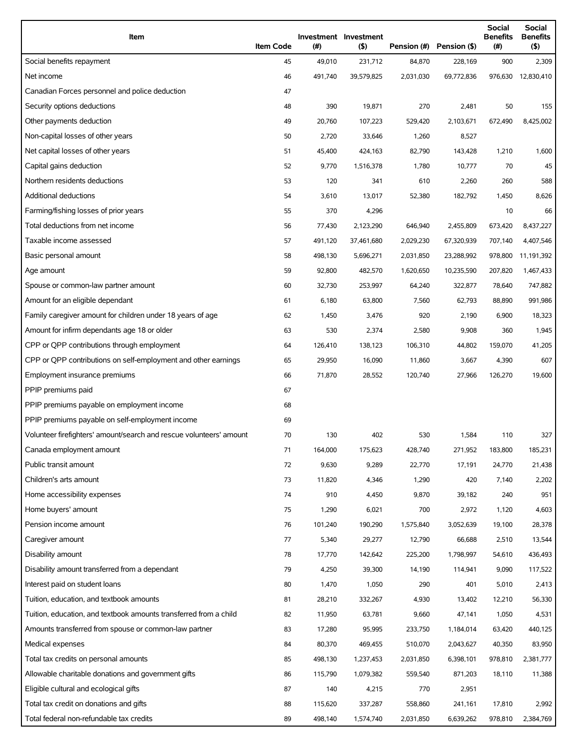| Item                                                                | <b>Item Code</b> | (#)     | Investment Investment<br>(5) |           | Pension (#) Pension (\$) | Social<br><b>Benefits</b><br>$(\#)$ | Social<br><b>Benefits</b><br>(5) |
|---------------------------------------------------------------------|------------------|---------|------------------------------|-----------|--------------------------|-------------------------------------|----------------------------------|
| Social benefits repayment                                           | 45               | 49,010  | 231,712                      | 84,870    | 228,169                  | 900                                 | 2,309                            |
| Net income                                                          | 46               | 491,740 | 39,579,825                   | 2,031,030 | 69,772,836               |                                     | 976,630 12,830,410               |
| Canadian Forces personnel and police deduction                      | 47               |         |                              |           |                          |                                     |                                  |
| Security options deductions                                         | 48               | 390     | 19,871                       | 270       | 2,481                    | 50                                  | 155                              |
| Other payments deduction                                            | 49               | 20,760  | 107,223                      | 529,420   | 2,103,671                | 672,490                             | 8,425,002                        |
| Non-capital losses of other years                                   | 50               | 2,720   | 33,646                       | 1,260     | 8,527                    |                                     |                                  |
| Net capital losses of other years                                   | 51               | 45,400  | 424,163                      | 82,790    | 143,428                  | 1,210                               | 1,600                            |
| Capital gains deduction                                             | 52               | 9,770   | 1,516,378                    | 1,780     | 10,777                   | 70                                  | 45                               |
| Northern residents deductions                                       | 53               | 120     | 341                          | 610       | 2,260                    | 260                                 | 588                              |
| Additional deductions                                               | 54               | 3,610   | 13,017                       | 52,380    | 182,792                  | 1,450                               | 8,626                            |
| Farming/fishing losses of prior years                               | 55               | 370     | 4,296                        |           |                          | 10                                  | 66                               |
| Total deductions from net income                                    | 56               | 77,430  | 2,123,290                    | 646,940   | 2,455,809                | 673,420                             | 8,437,227                        |
| Taxable income assessed                                             | 57               | 491,120 | 37,461,680                   | 2,029,230 | 67,320,939               | 707,140                             | 4,407,546                        |
| Basic personal amount                                               | 58               | 498,130 | 5,696,271                    | 2,031,850 | 23,288,992               | 978,800                             | 11,191,392                       |
| Age amount                                                          | 59               | 92,800  | 482,570                      | 1,620,650 | 10,235,590               | 207,820                             | 1,467,433                        |
| Spouse or common-law partner amount                                 | 60               | 32,730  | 253,997                      | 64,240    | 322,877                  | 78,640                              | 747,882                          |
| Amount for an eligible dependant                                    | 61               | 6,180   | 63,800                       | 7,560     | 62,793                   | 88,890                              | 991,986                          |
| Family caregiver amount for children under 18 years of age          | 62               | 1,450   | 3,476                        | 920       | 2,190                    | 6,900                               | 18,323                           |
| Amount for infirm dependants age 18 or older                        | 63               | 530     | 2,374                        | 2,580     | 9,908                    | 360                                 | 1,945                            |
| CPP or QPP contributions through employment                         | 64               | 126,410 | 138,123                      | 106,310   | 44,802                   | 159,070                             | 41,205                           |
| CPP or QPP contributions on self-employment and other earnings      | 65               | 29,950  | 16,090                       | 11,860    | 3,667                    | 4,390                               | 607                              |
| Employment insurance premiums                                       | 66               | 71,870  | 28,552                       | 120,740   | 27,966                   | 126,270                             | 19,600                           |
| PPIP premiums paid                                                  | 67               |         |                              |           |                          |                                     |                                  |
| PPIP premiums payable on employment income                          | 68               |         |                              |           |                          |                                     |                                  |
| PPIP premiums payable on self-employment income                     | 69               |         |                              |           |                          |                                     |                                  |
| Volunteer firefighters' amount/search and rescue volunteers' amount | 70               | 130     | 402                          | 530       | 1,584                    | 110                                 | 327                              |
| Canada employment amount                                            | 71               | 164,000 | 175,623                      | 428,740   | 271,952                  | 183,800                             | 185,231                          |
| Public transit amount                                               | 72               | 9,630   | 9,289                        | 22,770    | 17,191                   | 24,770                              | 21,438                           |
| Children's arts amount                                              | 73               | 11,820  | 4,346                        | 1,290     | 420                      | 7,140                               | 2,202                            |
| Home accessibility expenses                                         | 74               | 910     | 4,450                        | 9,870     | 39,182                   | 240                                 | 951                              |
| Home buyers' amount                                                 | 75               | 1,290   | 6,021                        | 700       | 2,972                    | 1,120                               | 4,603                            |
| Pension income amount                                               | 76               | 101,240 | 190,290                      | 1,575,840 | 3,052,639                | 19,100                              | 28,378                           |
| Caregiver amount                                                    | 77               | 5,340   | 29,277                       | 12,790    | 66,688                   | 2,510                               | 13,544                           |
| Disability amount                                                   | 78               | 17,770  | 142,642                      | 225,200   | 1,798,997                | 54,610                              | 436,493                          |
| Disability amount transferred from a dependant                      | 79               | 4,250   | 39,300                       | 14,190    | 114,941                  | 9,090                               | 117,522                          |
| Interest paid on student loans                                      | 80               | 1,470   | 1,050                        | 290       | 401                      | 5,010                               | 2,413                            |
| Tuition, education, and textbook amounts                            | 81               | 28,210  | 332,267                      | 4,930     | 13,402                   | 12,210                              | 56,330                           |
| Tuition, education, and textbook amounts transferred from a child   | 82               | 11,950  | 63,781                       | 9,660     | 47,141                   | 1,050                               | 4,531                            |
| Amounts transferred from spouse or common-law partner               | 83               | 17,280  | 95,995                       | 233,750   | 1,184,014                | 63,420                              | 440,125                          |
| Medical expenses                                                    | 84               | 80,370  | 469,455                      | 510,070   | 2,043,627                | 40,350                              | 83,950                           |
| Total tax credits on personal amounts                               | 85               | 498,130 | 1,237,453                    | 2,031,850 | 6,398,101                | 978,810                             | 2,381,777                        |
| Allowable charitable donations and government gifts                 | 86               | 115,790 | 1,079,382                    | 559,540   | 871,203                  | 18,110                              | 11,388                           |
| Eligible cultural and ecological gifts                              | 87               | 140     | 4,215                        | 770       | 2,951                    |                                     |                                  |
| Total tax credit on donations and gifts                             | 88               | 115,620 | 337,287                      | 558,860   | 241,161                  | 17,810                              | 2,992                            |
| Total federal non-refundable tax credits                            | 89               | 498,140 | 1,574,740                    | 2,031,850 | 6,639,262                | 978,810                             | 2,384,769                        |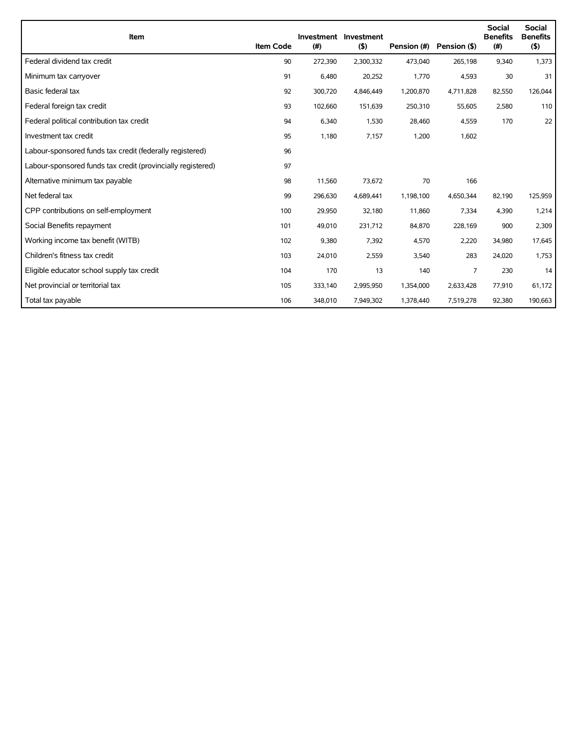| Item                                                        | <b>Item Code</b> | (#)     | Investment Investment<br>(5) | Pension (#) | Pension (\$)   | <b>Social</b><br><b>Benefits</b><br>(#) | <b>Social</b><br><b>Benefits</b><br>(5) |
|-------------------------------------------------------------|------------------|---------|------------------------------|-------------|----------------|-----------------------------------------|-----------------------------------------|
| Federal dividend tax credit                                 | 90               | 272,390 | 2,300,332                    | 473,040     | 265,198        | 9,340                                   | 1,373                                   |
| Minimum tax carryover                                       | 91               | 6,480   | 20,252                       | 1,770       | 4,593          | 30                                      | 31                                      |
| Basic federal tax                                           | 92               | 300,720 | 4,846,449                    | 1,200,870   | 4,711,828      | 82,550                                  | 126,044                                 |
| Federal foreign tax credit                                  | 93               | 102,660 | 151,639                      | 250,310     | 55,605         | 2,580                                   | 110                                     |
| Federal political contribution tax credit                   | 94               | 6,340   | 1,530                        | 28,460      | 4,559          | 170                                     | 22                                      |
| Investment tax credit                                       | 95               | 1,180   | 7,157                        | 1,200       | 1,602          |                                         |                                         |
| Labour-sponsored funds tax credit (federally registered)    | 96               |         |                              |             |                |                                         |                                         |
| Labour-sponsored funds tax credit (provincially registered) | 97               |         |                              |             |                |                                         |                                         |
| Alternative minimum tax payable                             | 98               | 11,560  | 73,672                       | 70          | 166            |                                         |                                         |
| Net federal tax                                             | 99               | 296,630 | 4,689,441                    | 1,198,100   | 4,650,344      | 82,190                                  | 125,959                                 |
| CPP contributions on self-employment                        | 100              | 29,950  | 32,180                       | 11,860      | 7,334          | 4,390                                   | 1,214                                   |
| Social Benefits repayment                                   | 101              | 49,010  | 231,712                      | 84,870      | 228,169        | 900                                     | 2,309                                   |
| Working income tax benefit (WITB)                           | 102              | 9,380   | 7,392                        | 4,570       | 2,220          | 34,980                                  | 17,645                                  |
| Children's fitness tax credit                               | 103              | 24,010  | 2,559                        | 3,540       | 283            | 24,020                                  | 1,753                                   |
| Eligible educator school supply tax credit                  | 104              | 170     | 13                           | 140         | $\overline{7}$ | 230                                     | 14                                      |
| Net provincial or territorial tax                           | 105              | 333,140 | 2,995,950                    | 1,354,000   | 2,633,428      | 77,910                                  | 61,172                                  |
| Total tax payable                                           | 106              | 348,010 | 7,949,302                    | 1,378,440   | 7,519,278      | 92,380                                  | 190,663                                 |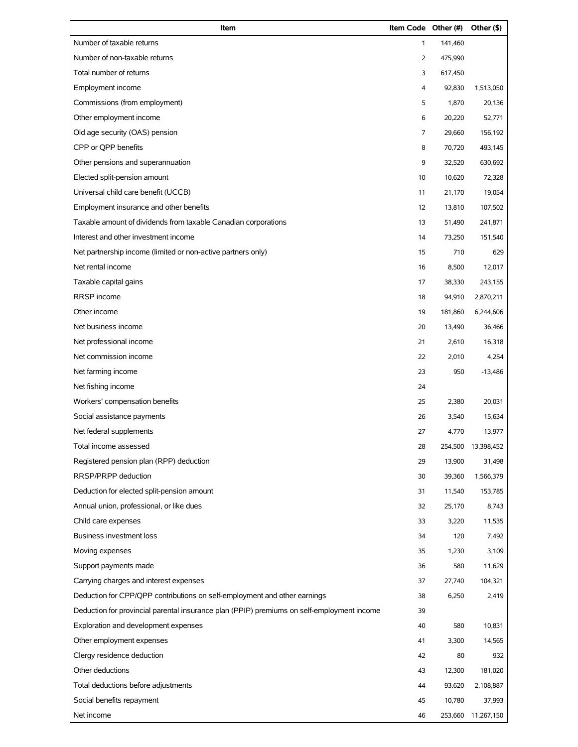| Item                                                                                       | Item Code Other (#) |         | Other (\$)         |
|--------------------------------------------------------------------------------------------|---------------------|---------|--------------------|
| Number of taxable returns                                                                  | $\mathbf{1}$        | 141,460 |                    |
| Number of non-taxable returns                                                              | $\overline{2}$      | 475,990 |                    |
| Total number of returns                                                                    | 3                   | 617,450 |                    |
| Employment income                                                                          | 4                   | 92,830  | 1,513,050          |
| Commissions (from employment)                                                              | 5                   | 1,870   | 20,136             |
| Other employment income                                                                    | 6                   | 20,220  | 52,771             |
| Old age security (OAS) pension                                                             | 7                   | 29,660  | 156,192            |
| CPP or QPP benefits                                                                        | 8                   | 70,720  | 493,145            |
| Other pensions and superannuation                                                          | 9                   | 32,520  | 630,692            |
| Elected split-pension amount                                                               | 10                  | 10,620  | 72,328             |
| Universal child care benefit (UCCB)                                                        | 11                  | 21,170  | 19,054             |
| Employment insurance and other benefits                                                    | 12                  | 13,810  | 107,502            |
| Taxable amount of dividends from taxable Canadian corporations                             | 13                  | 51,490  | 241,871            |
| Interest and other investment income                                                       | 14                  | 73,250  | 151,540            |
| Net partnership income (limited or non-active partners only)                               | 15                  | 710     | 629                |
| Net rental income                                                                          | 16                  | 8,500   | 12,017             |
| Taxable capital gains                                                                      | 17                  | 38,330  | 243,155            |
| RRSP income                                                                                | 18                  | 94,910  | 2,870,211          |
| Other income                                                                               | 19                  | 181,860 | 6,244,606          |
| Net business income                                                                        | 20                  | 13,490  | 36,466             |
| Net professional income                                                                    | 21                  | 2,610   | 16,318             |
| Net commission income                                                                      | 22                  | 2,010   | 4,254              |
| Net farming income                                                                         | 23                  | 950     | $-13,486$          |
| Net fishing income                                                                         | 24                  |         |                    |
| Workers' compensation benefits                                                             | 25                  | 2,380   | 20,031             |
| Social assistance payments                                                                 | 26                  | 3,540   | 15,634             |
| Net federal supplements                                                                    | 27                  | 4,770   | 13,977             |
| Total income assessed                                                                      | 28                  | 254,500 | 13,398,452         |
| Registered pension plan (RPP) deduction                                                    | 29                  | 13,900  | 31,498             |
| RRSP/PRPP deduction                                                                        | 30                  | 39,360  | 1,566,379          |
| Deduction for elected split-pension amount                                                 | 31                  | 11,540  | 153,785            |
| Annual union, professional, or like dues                                                   | 32                  | 25,170  | 8,743              |
| Child care expenses                                                                        | 33                  | 3,220   | 11,535             |
| <b>Business investment loss</b>                                                            | 34                  | 120     | 7,492              |
| Moving expenses                                                                            | 35                  | 1,230   | 3,109              |
| Support payments made                                                                      | 36                  | 580     | 11,629             |
| Carrying charges and interest expenses                                                     | 37                  | 27,740  | 104,321            |
| Deduction for CPP/QPP contributions on self-employment and other earnings                  | 38                  | 6,250   | 2,419              |
| Deduction for provincial parental insurance plan (PPIP) premiums on self-employment income | 39                  |         |                    |
| Exploration and development expenses                                                       | 40                  | 580     | 10,831             |
| Other employment expenses                                                                  | 41                  | 3,300   | 14,565             |
| Clergy residence deduction                                                                 | 42                  | 80      | 932                |
| Other deductions                                                                           | 43                  | 12,300  | 181,020            |
| Total deductions before adjustments                                                        | 44                  | 93,620  | 2,108,887          |
| Social benefits repayment                                                                  | 45                  | 10,780  | 37,993             |
| Net income                                                                                 | 46                  |         | 253,660 11,267,150 |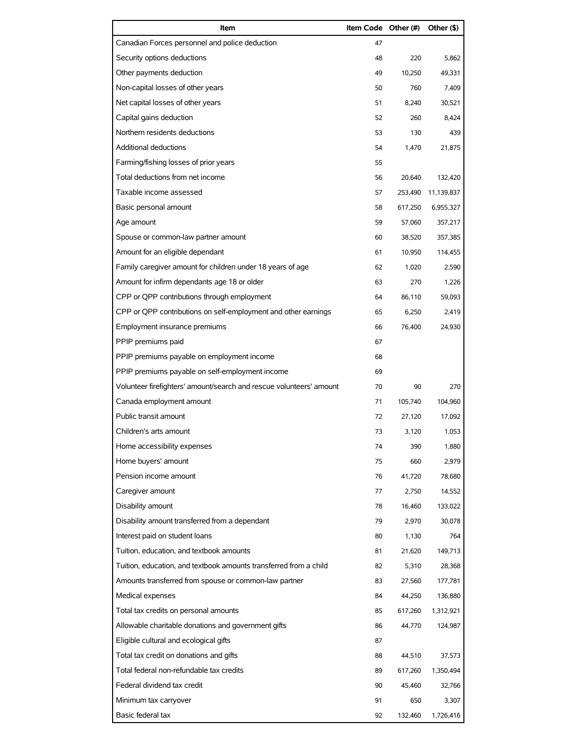| Item                                                                | Item Code Other (#) |         | Other (\$) |
|---------------------------------------------------------------------|---------------------|---------|------------|
| Canadian Forces personnel and police deduction                      | 47                  |         |            |
| Security options deductions                                         | 48                  | 220     | 5,862      |
| Other payments deduction                                            | 49                  | 10,250  | 49,331     |
| Non-capital losses of other years                                   | 50                  | 760     | 7,409      |
| Net capital losses of other years                                   | 51                  | 8,240   | 30,521     |
| Capital gains deduction                                             | 52                  | 260     | 8,424      |
| Northern residents deductions                                       | 53                  | 130     | 439        |
| <b>Additional deductions</b>                                        | 54                  | 1,470   | 21,875     |
| Farming/fishing losses of prior years                               | 55                  |         |            |
| Total deductions from net income                                    | 56                  | 20,640  | 132,420    |
| Taxable income assessed                                             | 57                  | 253,490 | 11,139,837 |
| Basic personal amount                                               | 58                  | 617.250 | 6,955,327  |
| Age amount                                                          | 59                  | 57,060  | 357,217    |
| Spouse or common-law partner amount                                 | 60                  | 38,520  | 357,385    |
| Amount for an eligible dependant                                    | 61                  | 10,950  | 114,455    |
| Family caregiver amount for children under 18 years of age          | 62                  | 1.020   | 2,590      |
| Amount for infirm dependants age 18 or older                        | 63                  | 270     | 1,226      |
| CPP or QPP contributions through employment                         | 64                  | 86,110  | 59,093     |
| CPP or QPP contributions on self-employment and other earnings      | 65                  | 6,250   | 2,419      |
| Employment insurance premiums                                       | 66                  | 76,400  | 24,930     |
| PPIP premiums paid                                                  | 67                  |         |            |
| PPIP premiums payable on employment income                          | 68                  |         |            |
| PPIP premiums payable on self-employment income                     | 69                  |         |            |
| Volunteer firefighters' amount/search and rescue volunteers' amount | 70                  | 90      | 270        |
| Canada employment amount                                            | 71                  | 105,740 | 104,960    |
| Public transit amount                                               | 72                  | 27,120  | 17,092     |
| Children's arts amount                                              | 73                  | 3,120   | 1,053      |
| Home accessibility expenses                                         | 74                  | 390     | 1,880      |
| Home buyers' amount                                                 | 75                  | 660     | 2,979      |
| Pension income amount                                               | 76                  | 41,720  | 78,680     |
| Caregiver amount                                                    | 77                  | 2,750   | 14,552     |
| Disability amount                                                   | 78                  | 16,460  | 133,022    |
| Disability amount transferred from a dependant                      | 79                  | 2,970   | 30,078     |
| Interest paid on student loans                                      | 80                  | 1,130   | 764        |
| Tuition, education, and textbook amounts                            | 81                  | 21,620  | 149,713    |
| Tuition, education, and textbook amounts transferred from a child   | 82                  | 5,310   | 28,368     |
| Amounts transferred from spouse or common-law partner               | 83                  | 27,560  | 177,781    |
| Medical expenses                                                    | 84                  | 44,250  | 136,880    |
| Total tax credits on personal amounts                               | 85                  | 617,260 | 1,312,921  |
| Allowable charitable donations and government gifts                 | 86                  | 44,770  | 124,987    |
| Eligible cultural and ecological gifts                              | 87                  |         |            |
| Total tax credit on donations and gifts                             | 88                  | 44,510  | 37,573     |
| Total federal non-refundable tax credits                            | 89                  | 617,260 | 1,350,494  |
| Federal dividend tax credit                                         | 90                  | 45,460  | 32,766     |
| Minimum tax carryover                                               | 91                  | 650     | 3,307      |
| Basic federal tax                                                   | 92                  | 132,460 | 1,726,416  |